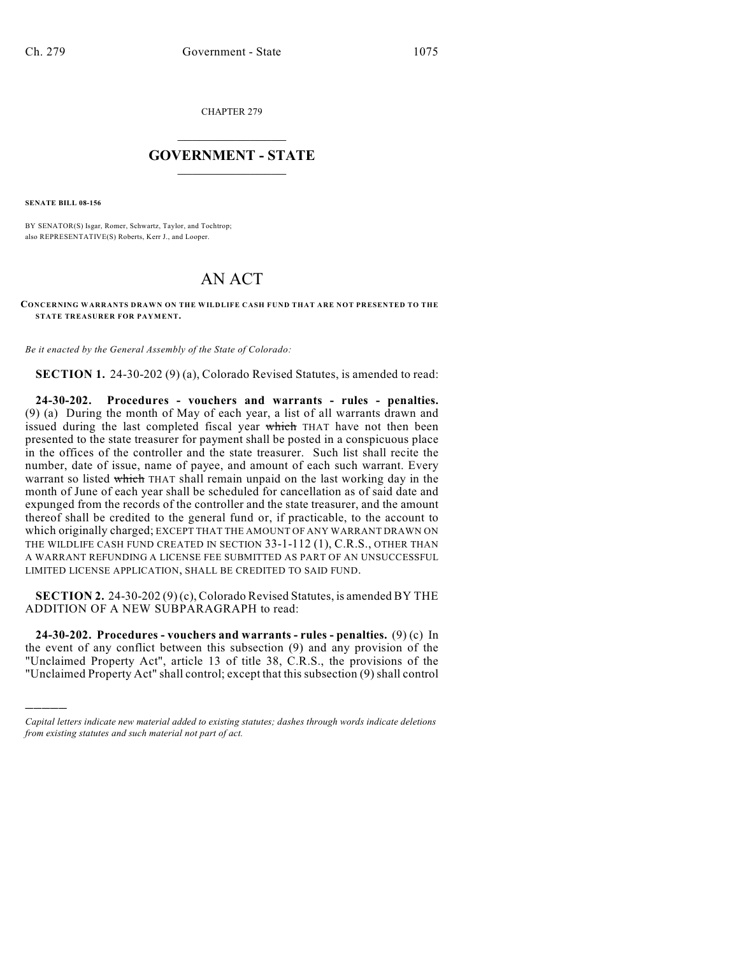CHAPTER 279

## $\mathcal{L}_\text{max}$  . The set of the set of the set of the set of the set of the set of the set of the set of the set of the set of the set of the set of the set of the set of the set of the set of the set of the set of the set **GOVERNMENT - STATE**  $\_$   $\_$

**SENATE BILL 08-156**

)))))

BY SENATOR(S) Isgar, Romer, Schwartz, Taylor, and Tochtrop; also REPRESENTATIVE(S) Roberts, Kerr J., and Looper.

## AN ACT

## **CONCERNING WARRANTS DRAWN ON THE WILDLIFE CASH FUND THAT ARE NOT PRESENTED TO THE STATE TREASURER FOR PAYMENT.**

*Be it enacted by the General Assembly of the State of Colorado:*

**SECTION 1.** 24-30-202 (9) (a), Colorado Revised Statutes, is amended to read:

**24-30-202. Procedures - vouchers and warrants - rules - penalties.** (9) (a) During the month of May of each year, a list of all warrants drawn and issued during the last completed fiscal year which THAT have not then been presented to the state treasurer for payment shall be posted in a conspicuous place in the offices of the controller and the state treasurer. Such list shall recite the number, date of issue, name of payee, and amount of each such warrant. Every warrant so listed which THAT shall remain unpaid on the last working day in the month of June of each year shall be scheduled for cancellation as of said date and expunged from the records of the controller and the state treasurer, and the amount thereof shall be credited to the general fund or, if practicable, to the account to which originally charged; EXCEPT THAT THE AMOUNT OF ANY WARRANT DRAWN ON THE WILDLIFE CASH FUND CREATED IN SECTION 33-1-112 (1), C.R.S., OTHER THAN A WARRANT REFUNDING A LICENSE FEE SUBMITTED AS PART OF AN UNSUCCESSFUL LIMITED LICENSE APPLICATION, SHALL BE CREDITED TO SAID FUND.

**SECTION 2.** 24-30-202 (9) (c), Colorado Revised Statutes, is amended BY THE ADDITION OF A NEW SUBPARAGRAPH to read:

**24-30-202. Procedures - vouchers and warrants - rules - penalties.** (9) (c) In the event of any conflict between this subsection (9) and any provision of the "Unclaimed Property Act", article 13 of title 38, C.R.S., the provisions of the "Unclaimed Property Act" shall control; except that this subsection (9) shall control

*Capital letters indicate new material added to existing statutes; dashes through words indicate deletions from existing statutes and such material not part of act.*